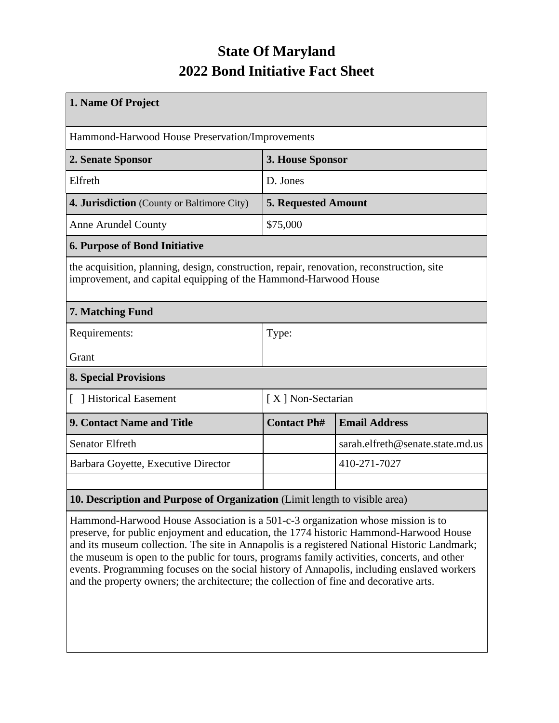## **State Of Maryland 2022 Bond Initiative Fact Sheet**

| 1. Name Of Project                                                                                                                                           |                            |                                  |  |  |  |
|--------------------------------------------------------------------------------------------------------------------------------------------------------------|----------------------------|----------------------------------|--|--|--|
| Hammond-Harwood House Preservation/Improvements                                                                                                              |                            |                                  |  |  |  |
| 2. Senate Sponsor                                                                                                                                            | 3. House Sponsor           |                                  |  |  |  |
| Elfreth                                                                                                                                                      | D. Jones                   |                                  |  |  |  |
| 4. Jurisdiction (County or Baltimore City)                                                                                                                   | <b>5. Requested Amount</b> |                                  |  |  |  |
| <b>Anne Arundel County</b>                                                                                                                                   | \$75,000                   |                                  |  |  |  |
| <b>6. Purpose of Bond Initiative</b>                                                                                                                         |                            |                                  |  |  |  |
| the acquisition, planning, design, construction, repair, renovation, reconstruction, site<br>improvement, and capital equipping of the Hammond-Harwood House |                            |                                  |  |  |  |
| 7. Matching Fund                                                                                                                                             |                            |                                  |  |  |  |
| Requirements:                                                                                                                                                | Type:                      |                                  |  |  |  |
| Grant                                                                                                                                                        |                            |                                  |  |  |  |
| <b>8. Special Provisions</b>                                                                                                                                 |                            |                                  |  |  |  |
| Historical Easement                                                                                                                                          | [X] Non-Sectarian          |                                  |  |  |  |
| <b>9. Contact Name and Title</b>                                                                                                                             | <b>Contact Ph#</b>         | <b>Email Address</b>             |  |  |  |
| <b>Senator Elfreth</b>                                                                                                                                       |                            | sarah.elfreth@senate.state.md.us |  |  |  |
| Barbara Goyette, Executive Director                                                                                                                          |                            | 410-271-7027                     |  |  |  |
|                                                                                                                                                              |                            |                                  |  |  |  |
| 10. Description and Purpose of Organization (Limit length to visible area)                                                                                   |                            |                                  |  |  |  |

Hammond-Harwood House Association is a 501-c-3 organization whose mission is to preserve, for public enjoyment and education, the 1774 historic Hammond-Harwood House and its museum collection. The site in Annapolis is a registered National Historic Landmark; the museum is open to the public for tours, programs family activities, concerts, and other events. Programming focuses on the social history of Annapolis, including enslaved workers and the property owners; the architecture; the collection of fine and decorative arts.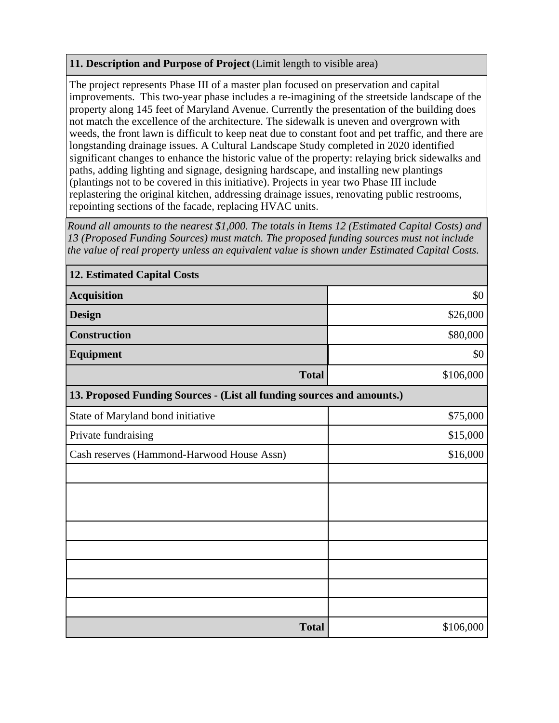## **11. Description and Purpose of Project** (Limit length to visible area)

The project represents Phase III of a master plan focused on preservation and capital improvements. This two-year phase includes a re-imagining of the streetside landscape of the property along 145 feet of Maryland Avenue. Currently the presentation of the building does not match the excellence of the architecture. The sidewalk is uneven and overgrown with weeds, the front lawn is difficult to keep neat due to constant foot and pet traffic, and there are longstanding drainage issues. A Cultural Landscape Study completed in 2020 identified significant changes to enhance the historic value of the property: relaying brick sidewalks and paths, adding lighting and signage, designing hardscape, and installing new plantings (plantings not to be covered in this initiative). Projects in year two Phase III include replastering the original kitchen, addressing drainage issues, renovating public restrooms, repointing sections of the facade, replacing HVAC units.

*Round all amounts to the nearest \$1,000. The totals in Items 12 (Estimated Capital Costs) and 13 (Proposed Funding Sources) must match. The proposed funding sources must not include the value of real property unless an equivalent value is shown under Estimated Capital Costs.*

| <b>12. Estimated Capital Costs</b>                                     |           |  |  |  |  |
|------------------------------------------------------------------------|-----------|--|--|--|--|
| <b>Acquisition</b>                                                     | \$0       |  |  |  |  |
| <b>Design</b>                                                          | \$26,000  |  |  |  |  |
| <b>Construction</b>                                                    | \$80,000  |  |  |  |  |
| <b>Equipment</b>                                                       | \$0       |  |  |  |  |
| <b>Total</b>                                                           | \$106,000 |  |  |  |  |
| 13. Proposed Funding Sources - (List all funding sources and amounts.) |           |  |  |  |  |
| State of Maryland bond initiative                                      | \$75,000  |  |  |  |  |
| Private fundraising                                                    | \$15,000  |  |  |  |  |
| Cash reserves (Hammond-Harwood House Assn)                             | \$16,000  |  |  |  |  |
|                                                                        |           |  |  |  |  |
|                                                                        |           |  |  |  |  |
|                                                                        |           |  |  |  |  |
|                                                                        |           |  |  |  |  |
|                                                                        |           |  |  |  |  |
|                                                                        |           |  |  |  |  |
|                                                                        |           |  |  |  |  |
|                                                                        |           |  |  |  |  |
| <b>Total</b>                                                           | \$106,000 |  |  |  |  |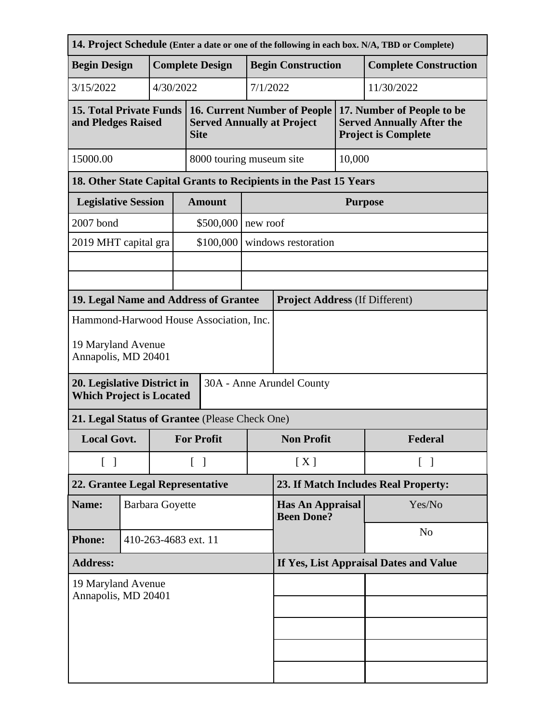|                                                                                             |                                                |                        |                                        |                                                                                         |          |                                                                   |                | 14. Project Schedule (Enter a date or one of the following in each box. N/A, TBD or Complete) |  |
|---------------------------------------------------------------------------------------------|------------------------------------------------|------------------------|----------------------------------------|-----------------------------------------------------------------------------------------|----------|-------------------------------------------------------------------|----------------|-----------------------------------------------------------------------------------------------|--|
| <b>Begin Design</b>                                                                         |                                                | <b>Complete Design</b> |                                        |                                                                                         |          | <b>Begin Construction</b>                                         |                | <b>Complete Construction</b>                                                                  |  |
| 3/15/2022                                                                                   |                                                | 4/30/2022              |                                        |                                                                                         | 7/1/2022 | 11/30/2022                                                        |                |                                                                                               |  |
| <b>15. Total Private Funds</b><br>and Pledges Raised                                        |                                                |                        |                                        | <b>16. Current Number of People</b><br><b>Served Annually at Project</b><br><b>Site</b> |          |                                                                   |                | 17. Number of People to be<br><b>Served Annually After the</b><br><b>Project is Complete</b>  |  |
| 15000.00                                                                                    |                                                |                        | 8000 touring museum site               |                                                                                         | 10,000   |                                                                   |                |                                                                                               |  |
|                                                                                             |                                                |                        |                                        |                                                                                         |          | 18. Other State Capital Grants to Recipients in the Past 15 Years |                |                                                                                               |  |
| <b>Legislative Session</b>                                                                  |                                                |                        |                                        | <b>Amount</b>                                                                           |          | <b>Purpose</b>                                                    |                |                                                                                               |  |
| 2007 bond                                                                                   |                                                |                        |                                        | \$500,000<br>new roof                                                                   |          |                                                                   |                |                                                                                               |  |
| 2019 MHT capital gra                                                                        |                                                |                        |                                        | \$100,000                                                                               |          | windows restoration                                               |                |                                                                                               |  |
|                                                                                             |                                                |                        |                                        |                                                                                         |          |                                                                   |                |                                                                                               |  |
|                                                                                             |                                                |                        |                                        |                                                                                         |          |                                                                   |                |                                                                                               |  |
| 19. Legal Name and Address of Grantee                                                       |                                                |                        |                                        |                                                                                         |          | <b>Project Address (If Different)</b>                             |                |                                                                                               |  |
| Hammond-Harwood House Association, Inc.<br>19 Maryland Avenue<br>Annapolis, MD 20401        |                                                |                        |                                        |                                                                                         |          |                                                                   |                |                                                                                               |  |
| 20. Legislative District in<br>30A - Anne Arundel County<br><b>Which Project is Located</b> |                                                |                        |                                        |                                                                                         |          |                                                                   |                |                                                                                               |  |
|                                                                                             | 21. Legal Status of Grantee (Please Check One) |                        |                                        |                                                                                         |          |                                                                   |                |                                                                                               |  |
| <b>Local Govt.</b>                                                                          |                                                |                        |                                        | <b>For Profit</b>                                                                       |          | <b>Non Profit</b>                                                 |                | Federal                                                                                       |  |
| $\begin{bmatrix} 1 \end{bmatrix}$                                                           |                                                |                        | $\begin{bmatrix} 1 \end{bmatrix}$      |                                                                                         | [X]      | $\lceil \ \rceil$                                                 |                |                                                                                               |  |
| 22. Grantee Legal Representative                                                            |                                                |                        | 23. If Match Includes Real Property:   |                                                                                         |          |                                                                   |                |                                                                                               |  |
| Name:                                                                                       |                                                | <b>Barbara Goyette</b> |                                        |                                                                                         |          | Has An Appraisal<br><b>Been Done?</b>                             |                | Yes/No                                                                                        |  |
| <b>Phone:</b>                                                                               |                                                | 410-263-4683 ext. 11   |                                        |                                                                                         |          |                                                                   | N <sub>o</sub> |                                                                                               |  |
| <b>Address:</b>                                                                             |                                                |                        | If Yes, List Appraisal Dates and Value |                                                                                         |          |                                                                   |                |                                                                                               |  |
| 19 Maryland Avenue<br>Annapolis, MD 20401                                                   |                                                |                        |                                        |                                                                                         |          |                                                                   |                |                                                                                               |  |
|                                                                                             |                                                |                        |                                        |                                                                                         |          |                                                                   |                |                                                                                               |  |
|                                                                                             |                                                |                        |                                        |                                                                                         |          |                                                                   |                |                                                                                               |  |
|                                                                                             |                                                |                        |                                        |                                                                                         |          |                                                                   |                |                                                                                               |  |
|                                                                                             |                                                |                        |                                        |                                                                                         |          |                                                                   |                |                                                                                               |  |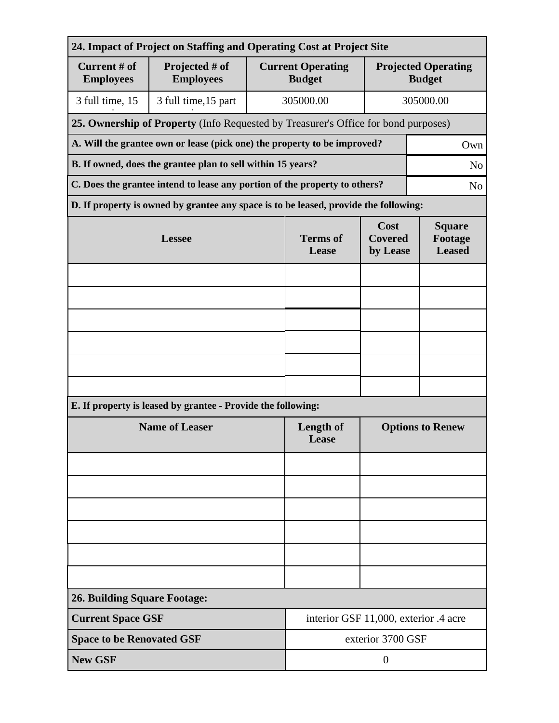| 24. Impact of Project on Staffing and Operating Cost at Project Site          |                                                                                              |                          |                                                                                 |                                             |  |  |  |
|-------------------------------------------------------------------------------|----------------------------------------------------------------------------------------------|--------------------------|---------------------------------------------------------------------------------|---------------------------------------------|--|--|--|
| Current # of<br><b>Employees</b>                                              | Projected # of<br><b>Employees</b>                                                           |                          | <b>Current Operating</b><br><b>Budget</b>                                       | <b>Projected Operating</b><br><b>Budget</b> |  |  |  |
| 3 full time, 15                                                               | 3 full time, 15 part                                                                         |                          | 305000.00<br>305000.00                                                          |                                             |  |  |  |
|                                                                               | 25. Ownership of Property (Info Requested by Treasurer's Office for bond purposes)           |                          |                                                                                 |                                             |  |  |  |
|                                                                               | A. Will the grantee own or lease (pick one) the property to be improved?<br>Own              |                          |                                                                                 |                                             |  |  |  |
| B. If owned, does the grantee plan to sell within 15 years?<br>N <sub>o</sub> |                                                                                              |                          |                                                                                 |                                             |  |  |  |
|                                                                               | C. Does the grantee intend to lease any portion of the property to others?<br>N <sub>0</sub> |                          |                                                                                 |                                             |  |  |  |
|                                                                               | D. If property is owned by grantee any space is to be leased, provide the following:         |                          |                                                                                 |                                             |  |  |  |
|                                                                               | <b>Lessee</b>                                                                                | <b>Terms</b> of<br>Lease | Cost<br><b>Square</b><br><b>Covered</b><br>Footage<br><b>Leased</b><br>by Lease |                                             |  |  |  |
|                                                                               |                                                                                              |                          |                                                                                 |                                             |  |  |  |
|                                                                               |                                                                                              |                          |                                                                                 |                                             |  |  |  |
|                                                                               |                                                                                              |                          |                                                                                 |                                             |  |  |  |
|                                                                               |                                                                                              |                          |                                                                                 |                                             |  |  |  |
|                                                                               |                                                                                              |                          |                                                                                 |                                             |  |  |  |
|                                                                               |                                                                                              |                          |                                                                                 |                                             |  |  |  |
| E. If property is leased by grantee - Provide the following:                  |                                                                                              |                          |                                                                                 |                                             |  |  |  |
| <b>Name of Leaser</b>                                                         |                                                                                              |                          | Length of<br>Lease                                                              | <b>Options to Renew</b>                     |  |  |  |
|                                                                               |                                                                                              |                          |                                                                                 |                                             |  |  |  |
|                                                                               |                                                                                              |                          |                                                                                 |                                             |  |  |  |
|                                                                               |                                                                                              |                          |                                                                                 |                                             |  |  |  |
|                                                                               |                                                                                              |                          |                                                                                 |                                             |  |  |  |
|                                                                               |                                                                                              |                          |                                                                                 |                                             |  |  |  |
|                                                                               |                                                                                              |                          |                                                                                 |                                             |  |  |  |
| <b>26. Building Square Footage:</b>                                           |                                                                                              |                          |                                                                                 |                                             |  |  |  |
| <b>Current Space GSF</b>                                                      |                                                                                              |                          | interior GSF 11,000, exterior .4 acre                                           |                                             |  |  |  |
|                                                                               | <b>Space to be Renovated GSF</b><br>exterior 3700 GSF                                        |                          |                                                                                 |                                             |  |  |  |
| <b>New GSF</b>                                                                |                                                                                              |                          | $\overline{0}$                                                                  |                                             |  |  |  |